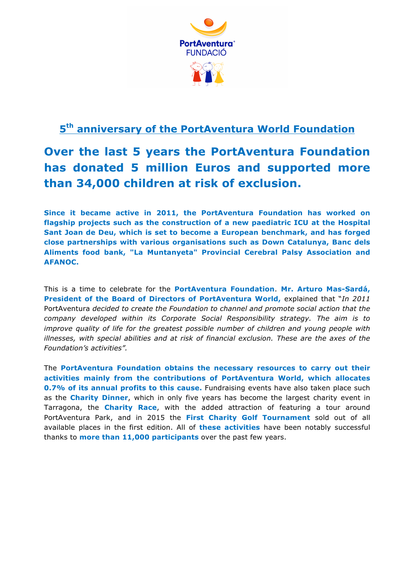

# **5th anniversary of the PortAventura World Foundation**

# **Over the last 5 years the PortAventura Foundation has donated 5 million Euros and supported more than 34,000 children at risk of exclusion.**

**Since it became active in 2011, the PortAventura Foundation has worked on flagship projects such as the construction of a new paediatric ICU at the Hospital Sant Joan de Deu, which is set to become a European benchmark, and has forged close partnerships with various organisations such as Down Catalunya, Banc dels Aliments food bank, "La Muntanyeta" Provincial Cerebral Palsy Association and AFANOC.**

This is a time to celebrate for the **PortAventura Foundation**. **Mr. Arturo Mas-Sardá, President of the Board of Directors of PortAventura World,** explained that "*In 2011* PortAventura *decided to create the Foundation to channel and promote social action that the company developed within its Corporate Social Responsibility strategy. The aim is to improve quality of life for the greatest possible number of children and young people with* illnesses, with special abilities and at risk of financial exclusion. These are the axes of the *Foundation's activities".*

The **PortAventura Foundation obtains the necessary resources to carry out their activities mainly from the contributions of PortAventura World, which allocates 0.7% of its annual profits to this cause.** Fundraising events have also taken place such as the **Charity Dinner**, which in only five years has become the largest charity event in Tarragona, the **Charity Race**, with the added attraction of featuring a tour around PortAventura Park, and in 2015 the **First Charity Golf Tournament** sold out of all available places in the first edition. All of **these activities** have been notably successful thanks to **more than 11,000 participants** over the past few years.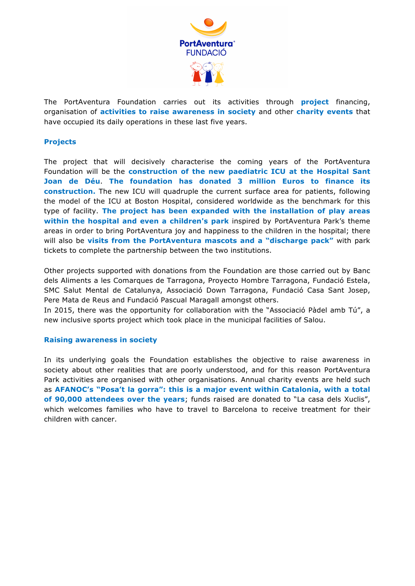

The PortAventura Foundation carries out its activities through **project** financing, organisation of **activities to raise awareness in society** and other **charity events** that have occupied its daily operations in these last five years.

### **Projects**

The project that will decisively characterise the coming years of the PortAventura Foundation will be the **construction of the new paediatric ICU at the Hospital Sant Joan de Déu**. **The foundation has donated 3 million Euros to finance its construction.** The new ICU will quadruple the current surface area for patients, following the model of the ICU at Boston Hospital, considered worldwide as the benchmark for this type of facility. **The project has been expanded with the installation of play areas within the hospital and even a children's park** inspired by PortAventura Park's theme areas in order to bring PortAventura joy and happiness to the children in the hospital; there will also be **visits from the PortAventura mascots and a "discharge pack"** with park tickets to complete the partnership between the two institutions.

Other projects supported with donations from the Foundation are those carried out by Banc dels Aliments a les Comarques de Tarragona, Proyecto Hombre Tarragona, Fundació Estela, SMC Salut Mental de Catalunya, Associació Down Tarragona, Fundació Casa Sant Josep, Pere Mata de Reus and Fundació Pascual Maragall amongst others.

In 2015, there was the opportunity for collaboration with the "Associació Pàdel amb Tú", a new inclusive sports project which took place in the municipal facilities of Salou.

#### **Raising awareness in society**

In its underlying goals the Foundation establishes the objective to raise awareness in society about other realities that are poorly understood, and for this reason PortAventura Park activities are organised with other organisations. Annual charity events are held such as **AFANOC's "Posa't la gorra": this is a major event within Catalonia, with a total of 90,000 attendees over the years**; funds raised are donated to "La casa dels Xuclis", which welcomes families who have to travel to Barcelona to receive treatment for their children with cancer.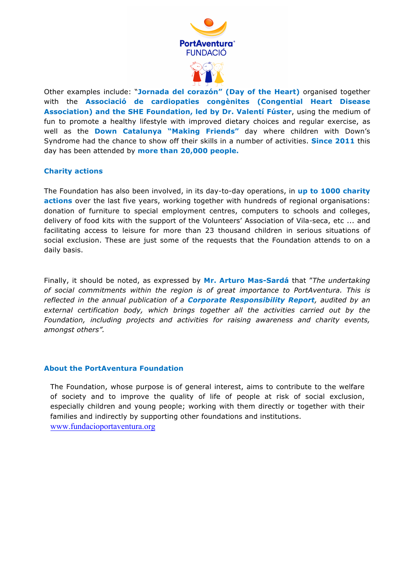

Other examples include: "**Jornada del corazón" (Day of the Heart)** organised together with the **Associació de cardiopaties congènites (Congential Heart Disease Association) and the SHE Foundation, led by Dr. Valentí Fúster**, using the medium of fun to promote a healthy lifestyle with improved dietary choices and regular exercise, as well as the **Down Catalunya "Making Friends"** day where children with Down's Syndrome had the chance to show off their skills in a number of activities. **Since 2011** this day has been attended by **more than 20,000 people.**

#### **Charity actions**

The Foundation has also been involved, in its day-to-day operations, in **up to 1000 charity actions** over the last five years, working together with hundreds of regional organisations: donation of furniture to special employment centres, computers to schools and colleges, delivery of food kits with the support of the Volunteers' Association of Vila-seca, etc ... and facilitating access to leisure for more than 23 thousand children in serious situations of social exclusion. These are just some of the requests that the Foundation attends to on a daily basis.

Finally, it should be noted, as expressed by **Mr. Arturo Mas-Sardá** that "*The undertaking of social commitments within the region is of great importance to PortAventura. This is reflected in the annual publication of a Corporate Responsibility Report, audited by an external certification body, which brings together all the activities carried out by the Foundation, including projects and activities for raising awareness and charity events, amongst others".* 

#### **About the PortAventura Foundation**

The Foundation, whose purpose is of general interest, aims to contribute to the welfare of society and to improve the quality of life of people at risk of social exclusion, especially children and young people; working with them directly or together with their families and indirectly by supporting other foundations and institutions. www.fundacioportaventura.org